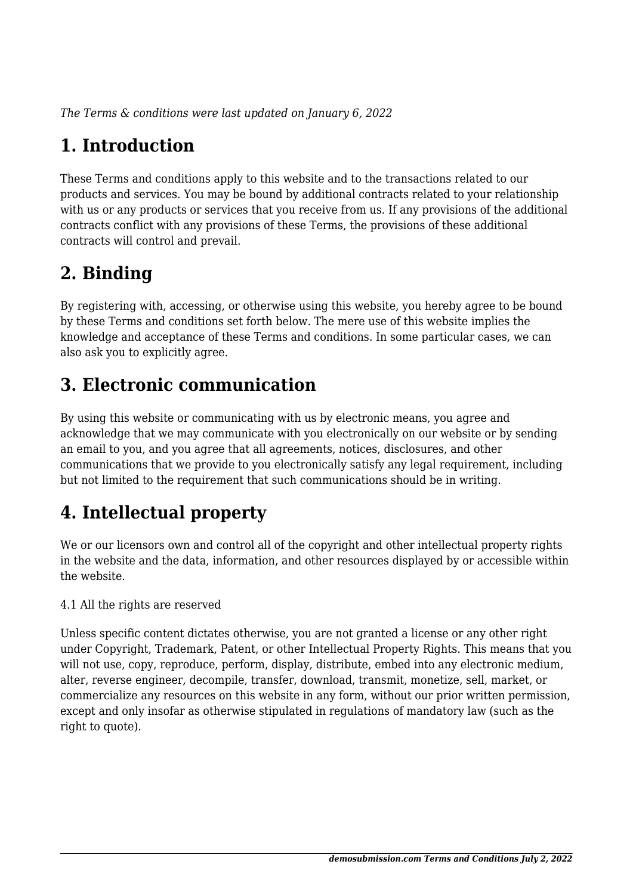*The Terms & conditions were last updated on January 6, 2022*

## **1. Introduction**

These Terms and conditions apply to this website and to the transactions related to our products and services. You may be bound by additional contracts related to your relationship with us or any products or services that you receive from us. If any provisions of the additional contracts conflict with any provisions of these Terms, the provisions of these additional contracts will control and prevail.

## **2. Binding**

By registering with, accessing, or otherwise using this website, you hereby agree to be bound by these Terms and conditions set forth below. The mere use of this website implies the knowledge and acceptance of these Terms and conditions. In some particular cases, we can also ask you to explicitly agree.

## **3. Electronic communication**

By using this website or communicating with us by electronic means, you agree and acknowledge that we may communicate with you electronically on our website or by sending an email to you, and you agree that all agreements, notices, disclosures, and other communications that we provide to you electronically satisfy any legal requirement, including but not limited to the requirement that such communications should be in writing.

# **4. Intellectual property**

We or our licensors own and control all of the copyright and other intellectual property rights in the website and the data, information, and other resources displayed by or accessible within the website.

4.1 All the rights are reserved

Unless specific content dictates otherwise, you are not granted a license or any other right under Copyright, Trademark, Patent, or other Intellectual Property Rights. This means that you will not use, copy, reproduce, perform, display, distribute, embed into any electronic medium, alter, reverse engineer, decompile, transfer, download, transmit, monetize, sell, market, or commercialize any resources on this website in any form, without our prior written permission, except and only insofar as otherwise stipulated in regulations of mandatory law (such as the right to quote).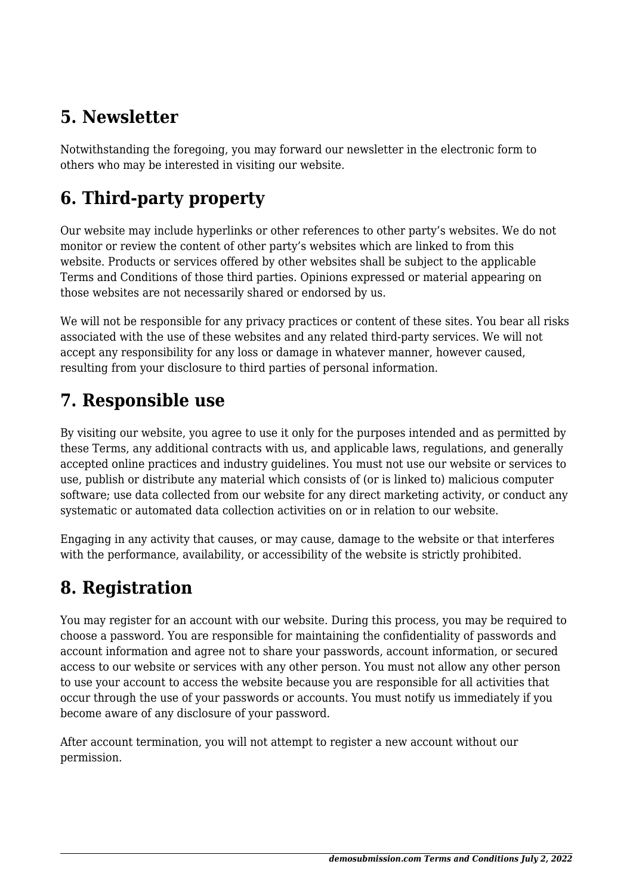## **5. Newsletter**

Notwithstanding the foregoing, you may forward our newsletter in the electronic form to others who may be interested in visiting our website.

# **6. Third-party property**

Our website may include hyperlinks or other references to other party's websites. We do not monitor or review the content of other party's websites which are linked to from this website. Products or services offered by other websites shall be subject to the applicable Terms and Conditions of those third parties. Opinions expressed or material appearing on those websites are not necessarily shared or endorsed by us.

We will not be responsible for any privacy practices or content of these sites. You bear all risks associated with the use of these websites and any related third-party services. We will not accept any responsibility for any loss or damage in whatever manner, however caused, resulting from your disclosure to third parties of personal information.

#### **7. Responsible use**

By visiting our website, you agree to use it only for the purposes intended and as permitted by these Terms, any additional contracts with us, and applicable laws, regulations, and generally accepted online practices and industry guidelines. You must not use our website or services to use, publish or distribute any material which consists of (or is linked to) malicious computer software; use data collected from our website for any direct marketing activity, or conduct any systematic or automated data collection activities on or in relation to our website.

Engaging in any activity that causes, or may cause, damage to the website or that interferes with the performance, availability, or accessibility of the website is strictly prohibited.

## **8. Registration**

You may register for an account with our website. During this process, you may be required to choose a password. You are responsible for maintaining the confidentiality of passwords and account information and agree not to share your passwords, account information, or secured access to our website or services with any other person. You must not allow any other person to use your account to access the website because you are responsible for all activities that occur through the use of your passwords or accounts. You must notify us immediately if you become aware of any disclosure of your password.

After account termination, you will not attempt to register a new account without our permission.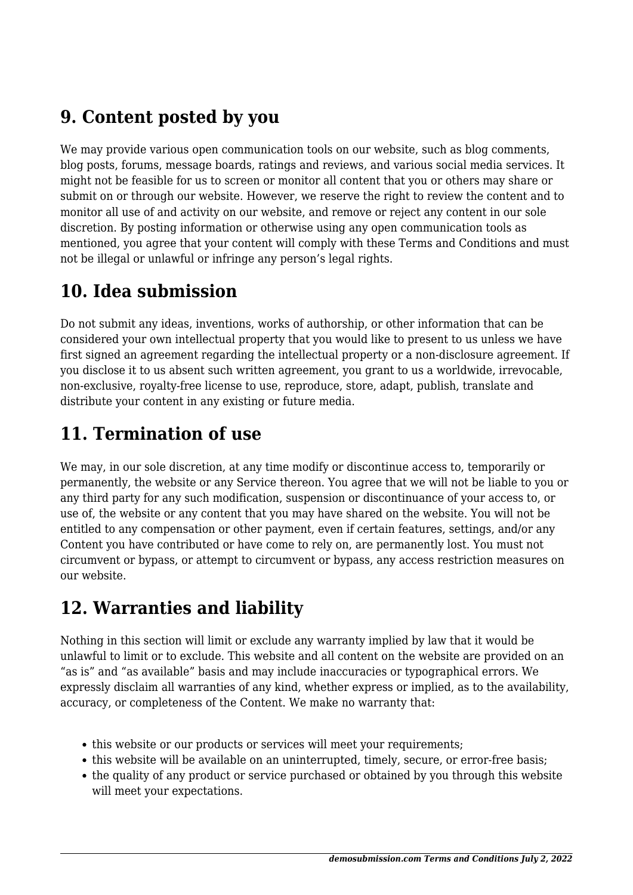### **9. Content posted by you**

We may provide various open communication tools on our website, such as blog comments, blog posts, forums, message boards, ratings and reviews, and various social media services. It might not be feasible for us to screen or monitor all content that you or others may share or submit on or through our website. However, we reserve the right to review the content and to monitor all use of and activity on our website, and remove or reject any content in our sole discretion. By posting information or otherwise using any open communication tools as mentioned, you agree that your content will comply with these Terms and Conditions and must not be illegal or unlawful or infringe any person's legal rights.

### **10. Idea submission**

Do not submit any ideas, inventions, works of authorship, or other information that can be considered your own intellectual property that you would like to present to us unless we have first signed an agreement regarding the intellectual property or a non-disclosure agreement. If you disclose it to us absent such written agreement, you grant to us a worldwide, irrevocable, non-exclusive, royalty-free license to use, reproduce, store, adapt, publish, translate and distribute your content in any existing or future media.

## **11. Termination of use**

We may, in our sole discretion, at any time modify or discontinue access to, temporarily or permanently, the website or any Service thereon. You agree that we will not be liable to you or any third party for any such modification, suspension or discontinuance of your access to, or use of, the website or any content that you may have shared on the website. You will not be entitled to any compensation or other payment, even if certain features, settings, and/or any Content you have contributed or have come to rely on, are permanently lost. You must not circumvent or bypass, or attempt to circumvent or bypass, any access restriction measures on our website.

#### **12. Warranties and liability**

Nothing in this section will limit or exclude any warranty implied by law that it would be unlawful to limit or to exclude. This website and all content on the website are provided on an "as is" and "as available" basis and may include inaccuracies or typographical errors. We expressly disclaim all warranties of any kind, whether express or implied, as to the availability, accuracy, or completeness of the Content. We make no warranty that:

- this website or our products or services will meet your requirements;
- this website will be available on an uninterrupted, timely, secure, or error-free basis;
- the quality of any product or service purchased or obtained by you through this website will meet your expectations.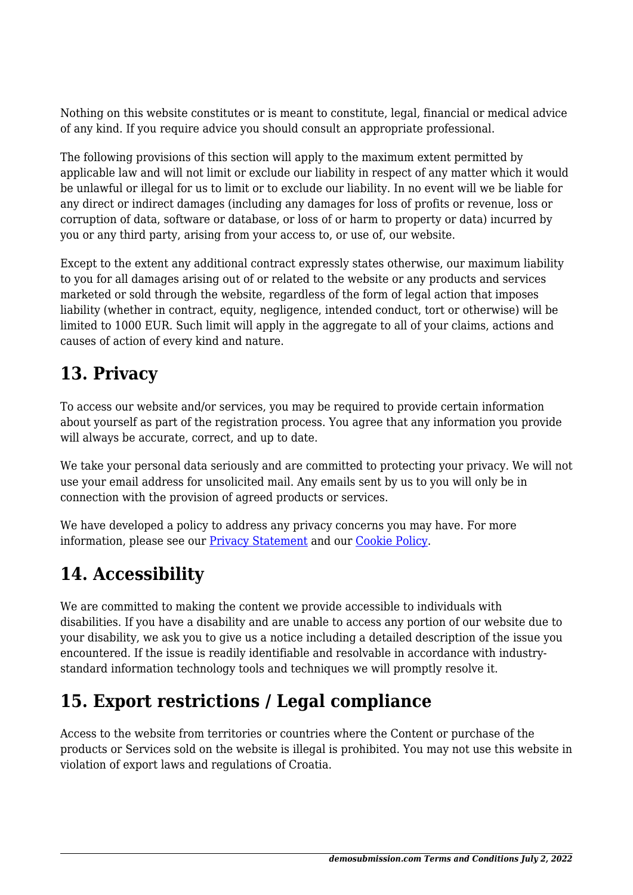Nothing on this website constitutes or is meant to constitute, legal, financial or medical advice of any kind. If you require advice you should consult an appropriate professional.

The following provisions of this section will apply to the maximum extent permitted by applicable law and will not limit or exclude our liability in respect of any matter which it would be unlawful or illegal for us to limit or to exclude our liability. In no event will we be liable for any direct or indirect damages (including any damages for loss of profits or revenue, loss or corruption of data, software or database, or loss of or harm to property or data) incurred by you or any third party, arising from your access to, or use of, our website.

Except to the extent any additional contract expressly states otherwise, our maximum liability to you for all damages arising out of or related to the website or any products and services marketed or sold through the website, regardless of the form of legal action that imposes liability (whether in contract, equity, negligence, intended conduct, tort or otherwise) will be limited to 1000 EUR. Such limit will apply in the aggregate to all of your claims, actions and causes of action of every kind and nature.

## **13. Privacy**

To access our website and/or services, you may be required to provide certain information about yourself as part of the registration process. You agree that any information you provide will always be accurate, correct, and up to date.

We take your personal data seriously and are committed to protecting your privacy. We will not use your email address for unsolicited mail. Any emails sent by us to you will only be in connection with the provision of agreed products or services.

We have developed a policy to address any privacy concerns you may have. For more information, please see our [Privacy Statement](#page--1-0) and our [Cookie Policy](https://demosubmission.com/cookie-policy-eu/?cmplz_region_redirect=true).

# **14. Accessibility**

We are committed to making the content we provide accessible to individuals with disabilities. If you have a disability and are unable to access any portion of our website due to your disability, we ask you to give us a notice including a detailed description of the issue you encountered. If the issue is readily identifiable and resolvable in accordance with industrystandard information technology tools and techniques we will promptly resolve it.

## **15. Export restrictions / Legal compliance**

Access to the website from territories or countries where the Content or purchase of the products or Services sold on the website is illegal is prohibited. You may not use this website in violation of export laws and regulations of Croatia.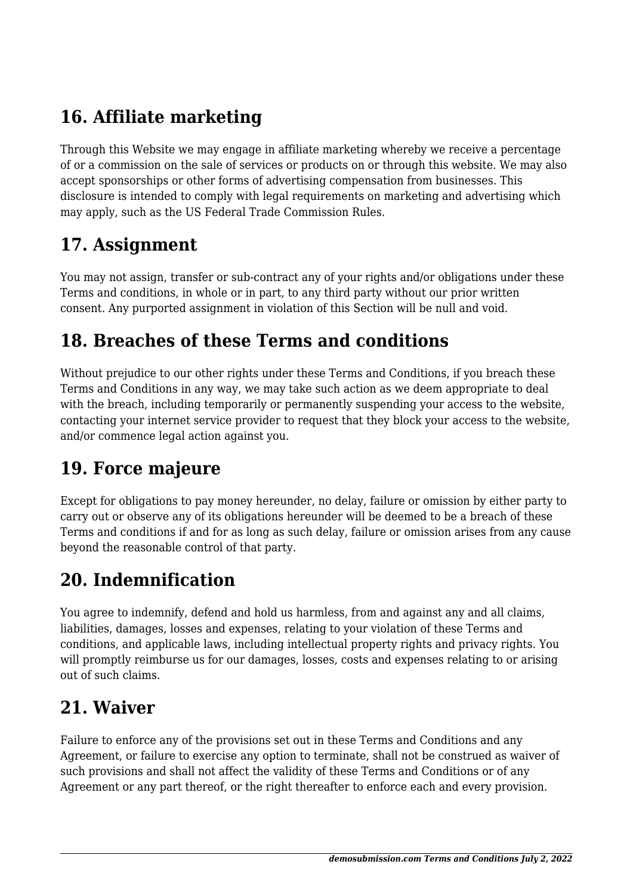## **16. Affiliate marketing**

Through this Website we may engage in affiliate marketing whereby we receive a percentage of or a commission on the sale of services or products on or through this website. We may also accept sponsorships or other forms of advertising compensation from businesses. This disclosure is intended to comply with legal requirements on marketing and advertising which may apply, such as the US Federal Trade Commission Rules.

#### **17. Assignment**

You may not assign, transfer or sub-contract any of your rights and/or obligations under these Terms and conditions, in whole or in part, to any third party without our prior written consent. Any purported assignment in violation of this Section will be null and void.

#### **18. Breaches of these Terms and conditions**

Without prejudice to our other rights under these Terms and Conditions, if you breach these Terms and Conditions in any way, we may take such action as we deem appropriate to deal with the breach, including temporarily or permanently suspending your access to the website, contacting your internet service provider to request that they block your access to the website, and/or commence legal action against you.

#### **19. Force majeure**

Except for obligations to pay money hereunder, no delay, failure or omission by either party to carry out or observe any of its obligations hereunder will be deemed to be a breach of these Terms and conditions if and for as long as such delay, failure or omission arises from any cause beyond the reasonable control of that party.

#### **20. Indemnification**

You agree to indemnify, defend and hold us harmless, from and against any and all claims, liabilities, damages, losses and expenses, relating to your violation of these Terms and conditions, and applicable laws, including intellectual property rights and privacy rights. You will promptly reimburse us for our damages, losses, costs and expenses relating to or arising out of such claims.

#### **21. Waiver**

Failure to enforce any of the provisions set out in these Terms and Conditions and any Agreement, or failure to exercise any option to terminate, shall not be construed as waiver of such provisions and shall not affect the validity of these Terms and Conditions or of any Agreement or any part thereof, or the right thereafter to enforce each and every provision.